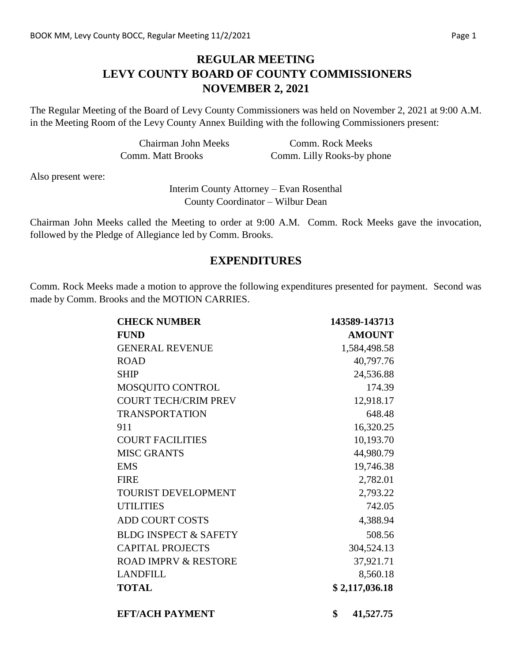## **REGULAR MEETING LEVY COUNTY BOARD OF COUNTY COMMISSIONERS NOVEMBER 2, 2021**

The Regular Meeting of the Board of Levy County Commissioners was held on November 2, 2021 at 9:00 A.M. in the Meeting Room of the Levy County Annex Building with the following Commissioners present:

| <b>Chairman John Meeks</b> | Comm. Rock Meeks           |
|----------------------------|----------------------------|
| Comm. Matt Brooks          | Comm. Lilly Rooks-by phone |

Also present were:

Interim County Attorney – Evan Rosenthal County Coordinator – Wilbur Dean

Chairman John Meeks called the Meeting to order at 9:00 A.M. Comm. Rock Meeks gave the invocation, followed by the Pledge of Allegiance led by Comm. Brooks.

### **EXPENDITURES**

Comm. Rock Meeks made a motion to approve the following expenditures presented for payment. Second was made by Comm. Brooks and the MOTION CARRIES.

| <b>CHECK NUMBER</b>              | 143589-143713   |  |
|----------------------------------|-----------------|--|
| <b>FUND</b>                      | <b>AMOUNT</b>   |  |
| <b>GENERAL REVENUE</b>           | 1,584,498.58    |  |
| <b>ROAD</b>                      | 40,797.76       |  |
| <b>SHIP</b>                      | 24,536.88       |  |
| MOSQUITO CONTROL                 | 174.39          |  |
| <b>COURT TECH/CRIM PREV</b>      | 12,918.17       |  |
| <b>TRANSPORTATION</b>            | 648.48          |  |
| 911                              | 16,320.25       |  |
| <b>COURT FACILITIES</b>          | 10,193.70       |  |
| <b>MISC GRANTS</b>               | 44,980.79       |  |
| <b>EMS</b>                       | 19,746.38       |  |
| <b>FIRE</b>                      | 2,782.01        |  |
| <b>TOURIST DEVELOPMENT</b>       | 2,793.22        |  |
| <b>UTILITIES</b>                 | 742.05          |  |
| <b>ADD COURT COSTS</b>           | 4,388.94        |  |
| <b>BLDG INSPECT &amp; SAFETY</b> | 508.56          |  |
| <b>CAPITAL PROJECTS</b>          | 304,524.13      |  |
| <b>ROAD IMPRV &amp; RESTORE</b>  | 37,921.71       |  |
| <b>LANDFILL</b>                  | 8,560.18        |  |
| <b>TOTAL</b>                     | \$2,117,036.18  |  |
| <b>EFT/ACH PAYMENT</b>           | \$<br>41,527.75 |  |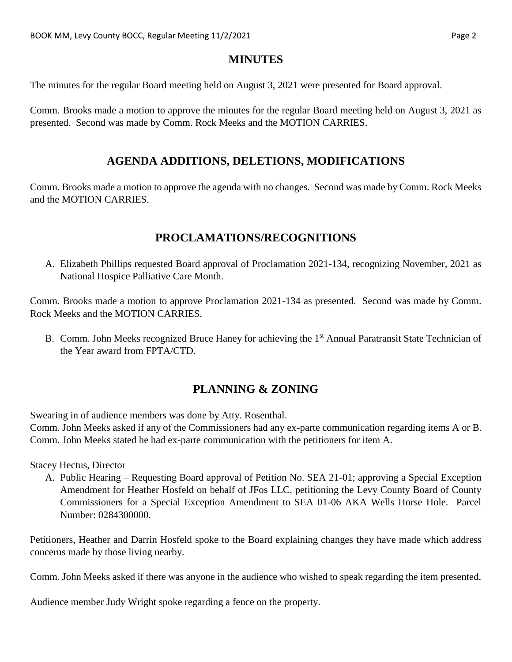### **MINUTES**

The minutes for the regular Board meeting held on August 3, 2021 were presented for Board approval.

Comm. Brooks made a motion to approve the minutes for the regular Board meeting held on August 3, 2021 as presented. Second was made by Comm. Rock Meeks and the MOTION CARRIES.

## **AGENDA ADDITIONS, DELETIONS, MODIFICATIONS**

Comm. Brooks made a motion to approve the agenda with no changes. Second was made by Comm. Rock Meeks and the MOTION CARRIES.

# **PROCLAMATIONS/RECOGNITIONS**

A. Elizabeth Phillips requested Board approval of Proclamation 2021-134, recognizing November, 2021 as National Hospice Palliative Care Month.

Comm. Brooks made a motion to approve Proclamation 2021-134 as presented. Second was made by Comm. Rock Meeks and the MOTION CARRIES.

B. Comm. John Meeks recognized Bruce Haney for achieving the 1<sup>st</sup> Annual Paratransit State Technician of the Year award from FPTA/CTD.

# **PLANNING & ZONING**

Swearing in of audience members was done by Atty. Rosenthal.

Comm. John Meeks asked if any of the Commissioners had any ex-parte communication regarding items A or B. Comm. John Meeks stated he had ex-parte communication with the petitioners for item A.

Stacey Hectus, Director

A. Public Hearing – Requesting Board approval of Petition No. SEA 21-01; approving a Special Exception Amendment for Heather Hosfeld on behalf of JFos LLC, petitioning the Levy County Board of County Commissioners for a Special Exception Amendment to SEA 01-06 AKA Wells Horse Hole. Parcel Number: 0284300000.

Petitioners, Heather and Darrin Hosfeld spoke to the Board explaining changes they have made which address concerns made by those living nearby.

Comm. John Meeks asked if there was anyone in the audience who wished to speak regarding the item presented.

Audience member Judy Wright spoke regarding a fence on the property.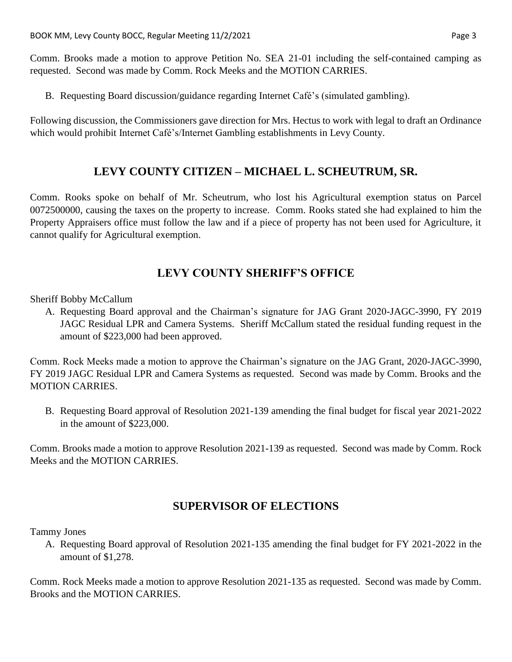Comm. Brooks made a motion to approve Petition No. SEA 21-01 including the self-contained camping as requested. Second was made by Comm. Rock Meeks and the MOTION CARRIES.

B. Requesting Board discussion/guidance regarding Internet Café's (simulated gambling).

Following discussion, the Commissioners gave direction for Mrs. Hectus to work with legal to draft an Ordinance which would prohibit Internet Café's/Internet Gambling establishments in Levy County.

### **LEVY COUNTY CITIZEN – MICHAEL L. SCHEUTRUM, SR.**

Comm. Rooks spoke on behalf of Mr. Scheutrum, who lost his Agricultural exemption status on Parcel 0072500000, causing the taxes on the property to increase. Comm. Rooks stated she had explained to him the Property Appraisers office must follow the law and if a piece of property has not been used for Agriculture, it cannot qualify for Agricultural exemption.

## **LEVY COUNTY SHERIFF'S OFFICE**

Sheriff Bobby McCallum

A. Requesting Board approval and the Chairman's signature for JAG Grant 2020-JAGC-3990, FY 2019 JAGC Residual LPR and Camera Systems. Sheriff McCallum stated the residual funding request in the amount of \$223,000 had been approved.

Comm. Rock Meeks made a motion to approve the Chairman's signature on the JAG Grant, 2020-JAGC-3990, FY 2019 JAGC Residual LPR and Camera Systems as requested. Second was made by Comm. Brooks and the MOTION CARRIES.

B. Requesting Board approval of Resolution 2021-139 amending the final budget for fiscal year 2021-2022 in the amount of \$223,000.

Comm. Brooks made a motion to approve Resolution 2021-139 as requested. Second was made by Comm. Rock Meeks and the MOTION CARRIES.

### **SUPERVISOR OF ELECTIONS**

Tammy Jones

A. Requesting Board approval of Resolution 2021-135 amending the final budget for FY 2021-2022 in the amount of \$1,278.

Comm. Rock Meeks made a motion to approve Resolution 2021-135 as requested. Second was made by Comm. Brooks and the MOTION CARRIES.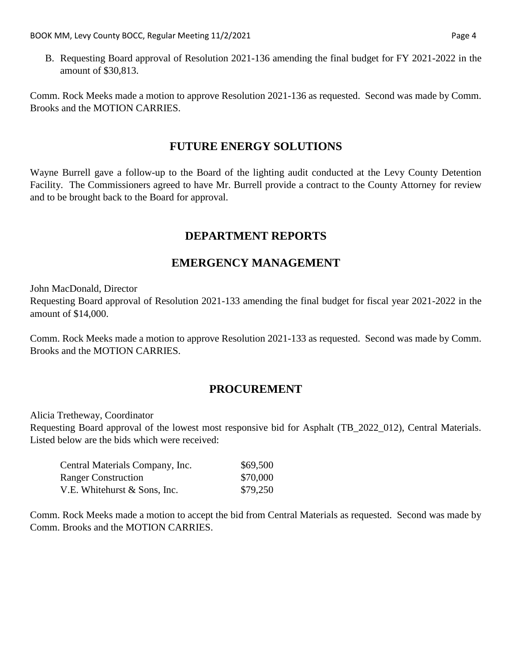B. Requesting Board approval of Resolution 2021-136 amending the final budget for FY 2021-2022 in the amount of \$30,813.

Comm. Rock Meeks made a motion to approve Resolution 2021-136 as requested. Second was made by Comm. Brooks and the MOTION CARRIES.

#### **FUTURE ENERGY SOLUTIONS**

Wayne Burrell gave a follow-up to the Board of the lighting audit conducted at the Levy County Detention Facility. The Commissioners agreed to have Mr. Burrell provide a contract to the County Attorney for review and to be brought back to the Board for approval.

## **DEPARTMENT REPORTS**

## **EMERGENCY MANAGEMENT**

John MacDonald, Director

Requesting Board approval of Resolution 2021-133 amending the final budget for fiscal year 2021-2022 in the amount of \$14,000.

Comm. Rock Meeks made a motion to approve Resolution 2021-133 as requested. Second was made by Comm. Brooks and the MOTION CARRIES.

### **PROCUREMENT**

Alicia Tretheway, Coordinator

Requesting Board approval of the lowest most responsive bid for Asphalt (TB\_2022\_012), Central Materials. Listed below are the bids which were received:

| Central Materials Company, Inc. | \$69,500 |
|---------------------------------|----------|
| <b>Ranger Construction</b>      | \$70,000 |
| V.E. Whitehurst & Sons, Inc.    | \$79,250 |

Comm. Rock Meeks made a motion to accept the bid from Central Materials as requested. Second was made by Comm. Brooks and the MOTION CARRIES.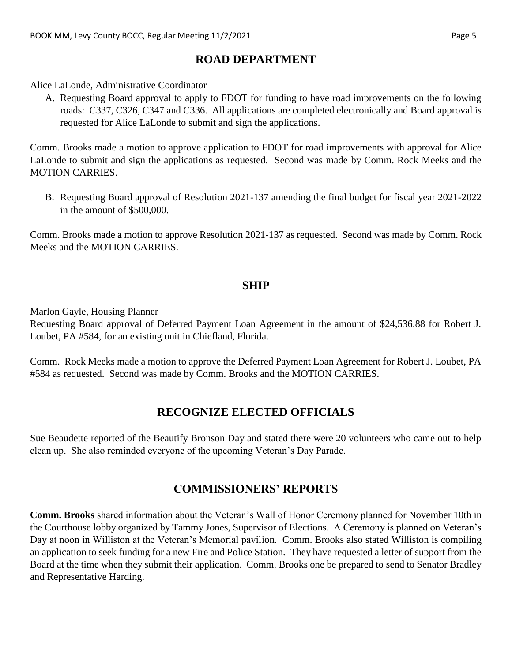## **ROAD DEPARTMENT**

Alice LaLonde, Administrative Coordinator

A. Requesting Board approval to apply to FDOT for funding to have road improvements on the following roads: C337, C326, C347 and C336. All applications are completed electronically and Board approval is requested for Alice LaLonde to submit and sign the applications.

Comm. Brooks made a motion to approve application to FDOT for road improvements with approval for Alice LaLonde to submit and sign the applications as requested. Second was made by Comm. Rock Meeks and the MOTION CARRIES.

B. Requesting Board approval of Resolution 2021-137 amending the final budget for fiscal year 2021-2022 in the amount of \$500,000.

Comm. Brooks made a motion to approve Resolution 2021-137 as requested. Second was made by Comm. Rock Meeks and the MOTION CARRIES.

### **SHIP**

Marlon Gayle, Housing Planner

Requesting Board approval of Deferred Payment Loan Agreement in the amount of \$24,536.88 for Robert J. Loubet, PA #584, for an existing unit in Chiefland, Florida.

Comm. Rock Meeks made a motion to approve the Deferred Payment Loan Agreement for Robert J. Loubet, PA #584 as requested. Second was made by Comm. Brooks and the MOTION CARRIES.

## **RECOGNIZE ELECTED OFFICIALS**

Sue Beaudette reported of the Beautify Bronson Day and stated there were 20 volunteers who came out to help clean up. She also reminded everyone of the upcoming Veteran's Day Parade.

# **COMMISSIONERS' REPORTS**

**Comm. Brooks** shared information about the Veteran's Wall of Honor Ceremony planned for November 10th in the Courthouse lobby organized by Tammy Jones, Supervisor of Elections. A Ceremony is planned on Veteran's Day at noon in Williston at the Veteran's Memorial pavilion. Comm. Brooks also stated Williston is compiling an application to seek funding for a new Fire and Police Station. They have requested a letter of support from the Board at the time when they submit their application. Comm. Brooks one be prepared to send to Senator Bradley and Representative Harding.